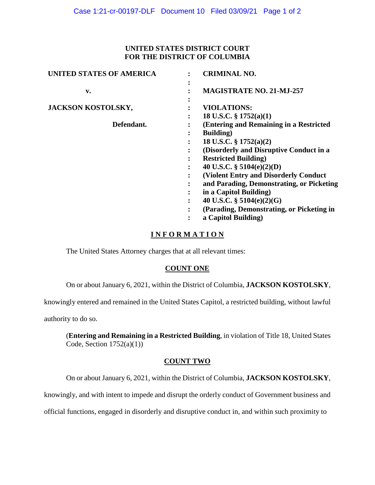## **UNITED STATES DISTRICT COURT FOR THE DISTRICT OF COLUMBIA**

| <b>UNITED STATES OF AMERICA</b> | <b>CRIMINAL NO.</b>                           |
|---------------------------------|-----------------------------------------------|
| v.                              | <b>MAGISTRATE NO. 21-MJ-257</b>               |
| JACKSON KOSTOLSKY,              | <b>VIOLATIONS:</b>                            |
|                                 | 18 U.S.C. $\S$ 1752(a)(1)                     |
| Defendant.                      | (Entering and Remaining in a Restricted       |
|                                 | <b>Building</b> )                             |
|                                 | 18 U.S.C. $\S 1752(a)(2)$                     |
|                                 | (Disorderly and Disruptive Conduct in a       |
|                                 | <b>Restricted Building</b> )                  |
|                                 | 40 U.S.C. $\S$ 5104(e)(2)(D)                  |
|                                 | <b>(Violent Entry and Disorderly Conduct)</b> |
|                                 | and Parading, Demonstrating, or Picketing     |
|                                 | in a Capitol Building)                        |
|                                 | 40 U.S.C. $\S$ 5104(e)(2)(G)                  |
|                                 | (Parading, Demonstrating, or Picketing in     |
|                                 | a Capitol Building)                           |

# **I N F O R M A T I O N**

The United States Attorney charges that at all relevant times:

# **COUNT ONE**

On or about January 6, 2021, within the District of Columbia, **JACKSON KOSTOLSKY**,

knowingly entered and remained in the United States Capitol, a restricted building, without lawful

authority to do so.

(**Entering and Remaining in a Restricted Building**, in violation of Title 18, United States Code, Section  $1752(a)(1)$ )

# **COUNT TWO**

On or about January 6, 2021, within the District of Columbia, **JACKSON KOSTOLSKY**,

knowingly, and with intent to impede and disrupt the orderly conduct of Government business and

official functions, engaged in disorderly and disruptive conduct in, and within such proximity to